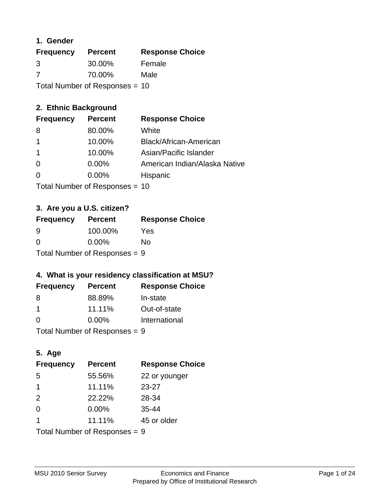### **1. Gender**

| <b>Frequency</b>                 | <b>Percent</b> | <b>Response Choice</b> |
|----------------------------------|----------------|------------------------|
| 3                                | 30.00%         | Female                 |
| 7                                | 70.00%         | Male                   |
| Total Number of Responses = $10$ |                |                        |

# **2. Ethnic Background**

| <b>Frequency</b> | <b>Percent</b> | <b>Response Choice</b>        |
|------------------|----------------|-------------------------------|
| 8                | 80.00%         | White                         |
|                  | 10.00%         | Black/African-American        |
|                  | 10.00%         | Asian/Pacific Islander        |
| 0                | $0.00\%$       | American Indian/Alaska Native |
|                  | 0.00%          | Hispanic                      |
|                  |                |                               |

Total Number of Responses = 10

## **3. Are you a U.S. citizen?**

| <b>Frequency</b>                | <b>Percent</b> | <b>Response Choice</b> |
|---------------------------------|----------------|------------------------|
| -9                              | 100.00%        | Yes                    |
| $\Omega$                        | $0.00\%$       | Nο                     |
| Total Number of Responses = $9$ |                |                        |

# **4. What is your residency classification at MSU?**

| <b>Frequency</b> | <b>Percent</b> | <b>Response Choice</b> |
|------------------|----------------|------------------------|
| -8               | 88.89%         | In-state               |
| -1               | 11.11%         | Out-of-state           |
| -0               | $0.00\%$       | International          |
|                  |                |                        |

Total Number of Responses = 9

# **5. Age**

| <b>Frequency</b>              | <b>Percent</b> | <b>Response Choice</b> |
|-------------------------------|----------------|------------------------|
| 5                             | 55.56%         | 22 or younger          |
| -1                            | 11.11%         | $23 - 27$              |
| 2                             | 22.22%         | 28-34                  |
| $\Omega$                      | $0.00\%$       | $35 - 44$              |
| -1                            | 11.11%         | 45 or older            |
| Total Number of Responses = 9 |                |                        |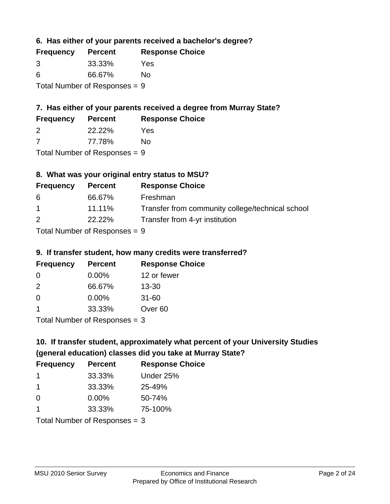**6. Has either of your parents received a bachelor's degree?**

| <b>Frequency</b>                | <b>Percent</b> | <b>Response Choice</b> |
|---------------------------------|----------------|------------------------|
| 3                               | 33.33%         | Yes                    |
| -6                              | 66.67%         | No                     |
| Total Number of Responses = $9$ |                |                        |

# **7. Has either of your parents received a degree from Murray State?**

| <b>Frequency</b> | <b>Percent</b> | <b>Response Choice</b> |
|------------------|----------------|------------------------|
|                  | 22.22%         | Yes                    |

7 77.78% No

Total Number of Responses = 9

# **8. What was your original entry status to MSU?**

| <b>Frequency</b> | <b>Percent</b> | <b>Response Choice</b>                           |
|------------------|----------------|--------------------------------------------------|
| -6               | 66.67%         | Freshman                                         |
| $\mathbf 1$      | 11.11%         | Transfer from community college/technical school |
| 2                | 22.22%         | Transfer from 4-yr institution                   |
|                  |                |                                                  |

Total Number of Responses = 9

### **9. If transfer student, how many credits were transferred?**

| <b>Frequency</b>              | <b>Percent</b> | <b>Response Choice</b> |
|-------------------------------|----------------|------------------------|
| -0                            | $0.00\%$       | 12 or fewer            |
| $\mathcal{P}$                 | 66.67%         | $13 - 30$              |
| 0                             | $0.00\%$       | $31 - 60$              |
|                               | 33.33%         | Over <sub>60</sub>     |
| $Total Number of Doepopoog -$ |                |                        |

I otal Number of Responses  $=$  3

# **10. If transfer student, approximately what percent of your University Studies (general education) classes did you take at Murray State?**

| <b>Frequency</b>                | <b>Percent</b> | <b>Response Choice</b> |
|---------------------------------|----------------|------------------------|
| -1                              | 33.33%         | Under 25%              |
| -1                              | 33.33%         | 25-49%                 |
| $\Omega$                        | $0.00\%$       | 50-74%                 |
| $\mathbf 1$                     | 33.33%         | 75-100%                |
| Total Number of Responses $=$ 3 |                |                        |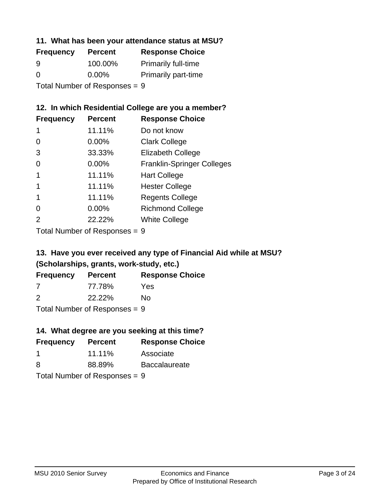### **11. What has been your attendance status at MSU?**

| <b>Frequency</b>              | <b>Percent</b> | <b>Response Choice</b>     |
|-------------------------------|----------------|----------------------------|
| 9                             | 100.00%        | <b>Primarily full-time</b> |
| $\Omega$                      | $0.00\%$       | <b>Primarily part-time</b> |
| Total Number of Responses = 9 |                |                            |

### **12. In which Residential College are you a member?**

| <b>Percent</b> | <b>Response Choice</b>            |
|----------------|-----------------------------------|
| 11.11%         | Do not know                       |
| $0.00\%$       | <b>Clark College</b>              |
| 33.33%         | <b>Elizabeth College</b>          |
| 0.00%          | <b>Franklin-Springer Colleges</b> |
| 11.11%         | <b>Hart College</b>               |
| 11.11%         | <b>Hester College</b>             |
| 11.11%         | <b>Regents College</b>            |
| 0.00%          | <b>Richmond College</b>           |
| 22.22%         | <b>White College</b>              |
|                |                                   |

Total Number of Responses = 9

# **13. Have you ever received any type of Financial Aid while at MSU? (Scholarships, grants, work-study, etc.)**

| <b>Frequency</b> | <b>Percent</b>                                                                      | <b>Response Choice</b> |
|------------------|-------------------------------------------------------------------------------------|------------------------|
| 7                | 77.78%                                                                              | Yes                    |
| $\mathcal{P}$    | 22.22%                                                                              | Nο                     |
|                  | $\tau$ and $\mathbf{M}$ and $\mathbf{M}$ are $\mathbf{C}$ . The set of $\mathbf{C}$ |                        |

Total Number of Responses = 9

# **14. What degree are you seeking at this time?**

| <b>Frequency</b> | <b>Percent</b>                  | <b>Response Choice</b> |
|------------------|---------------------------------|------------------------|
| -1               | 11.11%                          | Associate              |
| 8                | 88.89%                          | <b>Baccalaureate</b>   |
|                  | Total Number of Responses $= 9$ |                        |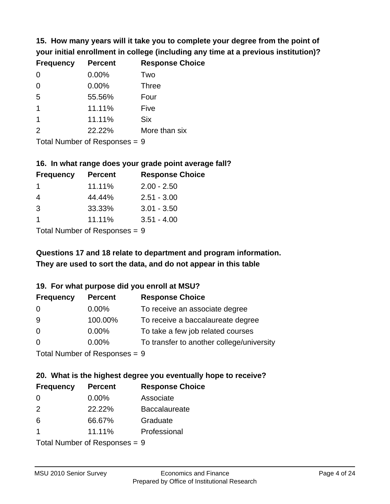**15. How many years will it take you to complete your degree from the point of your initial enrollment in college (including any time at a previous institution)?**

| <b>Frequency</b> | <b>Percent</b> | <b>Response Choice</b> |
|------------------|----------------|------------------------|
| $\Omega$         | 0.00%          | Two                    |
| $\Omega$         | 0.00%          | <b>Three</b>           |
| 5                | 55.56%         | Four                   |
| 1                | 11.11%         | Five                   |
| 1                | 11.11%         | <b>Six</b>             |
| 2                | 22.22%         | More than six          |
|                  |                |                        |

Total Number of Responses = 9

#### **16. In what range does your grade point average fall?**

| <b>Frequency</b> | <b>Percent</b> | <b>Response Choice</b> |
|------------------|----------------|------------------------|
|                  | 11.11%         | $2.00 - 2.50$          |
| 4                | 44.44%         | $2.51 - 3.00$          |
| -3               | 33.33%         | $3.01 - 3.50$          |
|                  | 11.11%         | $3.51 - 4.00$          |
|                  |                |                        |

Total Number of Responses = 9

# **They are used to sort the data, and do not appear in this table Questions 17 and 18 relate to department and program information.**

#### **19. For what purpose did you enroll at MSU?**

| <b>Frequency</b>            | <b>Percent</b> | <b>Response Choice</b>                    |
|-----------------------------|----------------|-------------------------------------------|
| 0                           | $0.00\%$       | To receive an associate degree            |
| 9                           | 100.00%        | To receive a baccalaureate degree         |
| $\overline{0}$              | $0.00\%$       | To take a few job related courses         |
| $\Omega$                    | $0.00\%$       | To transfer to another college/university |
| Total Number of Despesses 0 |                |                                           |

Total Number of Responses = 9

# **20. What is the highest degree you eventually hope to receive?**

| <b>Frequency</b> | <b>Percent</b>                                 | <b>Response Choice</b> |
|------------------|------------------------------------------------|------------------------|
| $\Omega$         | $0.00\%$                                       | Associate              |
| 2                | 22.22%                                         | <b>Baccalaureate</b>   |
| 6                | 66.67%                                         | Graduate               |
|                  | 11.11%                                         | Professional           |
|                  | $T$ at all Message and $R$ are a second $\sim$ |                        |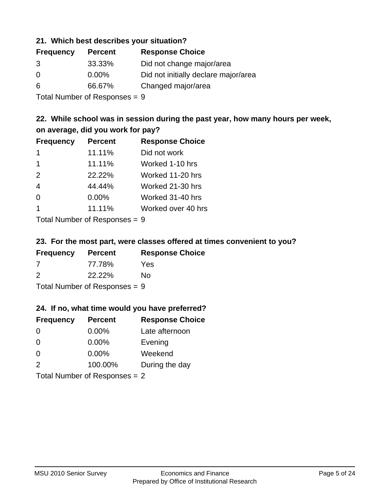#### **21. Which best describes your situation?**

| <b>Frequency</b> | <b>Percent</b> | <b>Response Choice</b>               |
|------------------|----------------|--------------------------------------|
| 3                | 33.33%         | Did not change major/area            |
| $\Omega$         | $0.00\%$       | Did not initially declare major/area |
| 6                | 66.67%         | Changed major/area                   |
|                  |                |                                      |

Total Number of Responses = 9

### **22. While school was in session during the past year, how many hours per week, on average, did you work for pay?**

| <b>Frequency</b> | <b>Percent</b> | <b>Response Choice</b> |
|------------------|----------------|------------------------|
| -1               | 11.11%         | Did not work           |
| $\mathbf 1$      | 11.11%         | Worked 1-10 hrs        |
| 2                | 22.22%         | Worked 11-20 hrs       |
| $\overline{4}$   | 44.44%         | Worked 21-30 hrs       |
| $\Omega$         | 0.00%          | Worked 31-40 hrs       |
| $\overline{1}$   | 11.11%         | Worked over 40 hrs     |
|                  |                |                        |

Total Number of Responses = 9

#### **23. For the most part, were classes offered at times convenient to you?**

| <b>Frequency</b>                | <b>Percent</b> | <b>Response Choice</b> |
|---------------------------------|----------------|------------------------|
| -7                              | 77.78%         | Yes                    |
| $\mathcal{P}$                   | 22.22%         | Nο                     |
| Total Number of Responses = $9$ |                |                        |

#### **24. If no, what time would you have preferred?**

| <b>Frequency</b> | <b>Percent</b>                  | <b>Response Choice</b> |
|------------------|---------------------------------|------------------------|
| $\Omega$         | $0.00\%$                        | Late afternoon         |
| $\Omega$         | 0.00%                           | Evening                |
| 0                | $0.00\%$                        | Weekend                |
| 2                | 100.00%                         | During the day         |
|                  | Total Number of Responses $= 2$ |                        |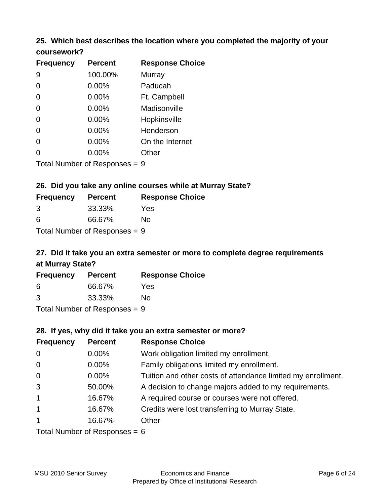#### **25. Which best describes the location where you completed the majority of your coursework?**

| <b>Frequency</b>           | <b>Percent</b> | <b>Response Choice</b> |
|----------------------------|----------------|------------------------|
| 9                          | 100.00%        | Murray                 |
| 0                          | 0.00%          | Paducah                |
| $\overline{0}$             | 0.00%          | Ft. Campbell           |
| 0                          | 0.00%          | Madisonville           |
| 0                          | 0.00%          | Hopkinsville           |
| 0                          | 0.00%          | Henderson              |
| 0                          | 0.00%          | On the Internet        |
| 0                          | 0.00%          | Other                  |
| Tetal Number of Desperance |                | C.                     |

Total Number of Responses = 9

#### **26. Did you take any online courses while at Murray State?**

| <b>Frequency</b>                | <b>Percent</b> | <b>Response Choice</b> |
|---------------------------------|----------------|------------------------|
| -3                              | 33.33%         | Yes                    |
| -6                              | 66.67%         | Nο                     |
| Total Number of Responses $= 9$ |                |                        |

# **27. Did it take you an extra semester or more to complete degree requirements at Murray State?**

| <b>Frequency</b> | <b>Percent</b>               | <b>Response Choice</b> |
|------------------|------------------------------|------------------------|
| 6                | 66.67%                       | Yes                    |
| 3                | 33.33%                       | No                     |
|                  | The HI all and December 2014 |                        |

Total Number of Responses = 9

#### **28. If yes, why did it take you an extra semester or more?**

| <b>Frequency</b> | <b>Percent</b>                  | <b>Response Choice</b>                                       |
|------------------|---------------------------------|--------------------------------------------------------------|
| $\mathbf 0$      | 0.00%                           | Work obligation limited my enrollment.                       |
| $\mathbf 0$      | $0.00\%$                        | Family obligations limited my enrollment.                    |
| $\overline{0}$   | 0.00%                           | Tuition and other costs of attendance limited my enrollment. |
| 3                | 50.00%                          | A decision to change majors added to my requirements.        |
| $\mathbf{1}$     | 16.67%                          | A required course or courses were not offered.               |
| $\mathbf{1}$     | 16.67%                          | Credits were lost transferring to Murray State.              |
| $\mathbf{1}$     | 16.67%                          | Other                                                        |
|                  | Total Number of Responses = $6$ |                                                              |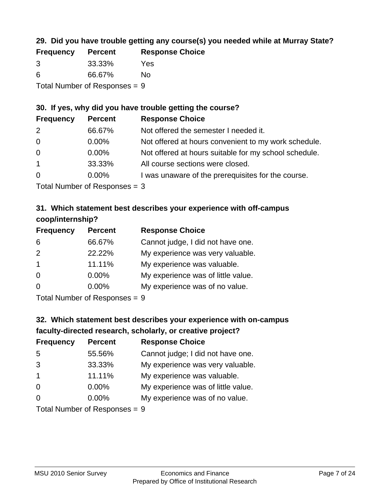## **29. Did you have trouble getting any course(s) you needed while at Murray State?**

| <b>Frequency</b> | <b>Percent</b>                  | <b>Response Choice</b> |
|------------------|---------------------------------|------------------------|
| -3               | 33.33%                          | Yes                    |
| -6               | 66.67%                          | No.                    |
|                  | Total Number of Responses = $9$ |                        |

### **30. If yes, why did you have trouble getting the course?**

| <b>Frequency</b> | <b>Percent</b> | <b>Response Choice</b>                                |
|------------------|----------------|-------------------------------------------------------|
| 2                | 66.67%         | Not offered the semester I needed it.                 |
| $\overline{0}$   | $0.00\%$       | Not offered at hours convenient to my work schedule.  |
| $\overline{0}$   | $0.00\%$       | Not offered at hours suitable for my school schedule. |
| $\overline{1}$   | 33.33%         | All course sections were closed.                      |
| $\overline{0}$   | $0.00\%$       | I was unaware of the prerequisites for the course.    |
|                  |                |                                                       |

Total Number of Responses = 3

## **31. Which statement best describes your experience with off-campus coop/internship?**

| <b>Frequency</b> | <b>Percent</b> | <b>Response Choice</b>             |
|------------------|----------------|------------------------------------|
| 6                | 66.67%         | Cannot judge, I did not have one.  |
| 2                | 22.22%         | My experience was very valuable.   |
| $\overline{1}$   | 11.11%         | My experience was valuable.        |
| $\Omega$         | $0.00\%$       | My experience was of little value. |
| $\Omega$         | 0.00%          | My experience was of no value.     |
|                  |                |                                    |

Total Number of Responses = 9

# **32. Which statement best describes your experience with on-campus faculty-directed research, scholarly, or creative project?**

| <b>Frequency</b> | <b>Percent</b>            | <b>Response Choice</b>             |
|------------------|---------------------------|------------------------------------|
| 5                | 55.56%                    | Cannot judge; I did not have one.  |
| 3                | 33.33%                    | My experience was very valuable.   |
| $\overline{1}$   | 11.11%                    | My experience was valuable.        |
| $\Omega$         | $0.00\%$                  | My experience was of little value. |
| $\Omega$         | 0.00%                     | My experience was of no value.     |
|                  | Total Number of Despanses |                                    |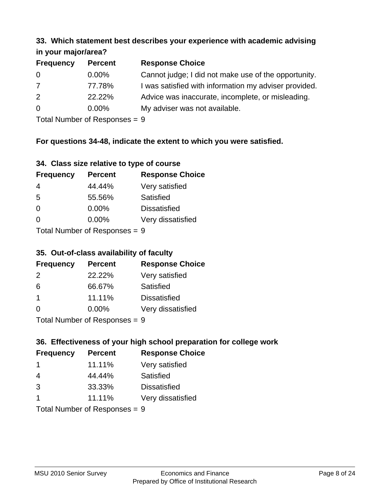#### **33. Which statement best describes your experience with academic advising in your major/area?**

| 111, 122, 111, 112, 121, 121, 131 |                |                                                       |
|-----------------------------------|----------------|-------------------------------------------------------|
| <b>Frequency</b>                  | <b>Percent</b> | <b>Response Choice</b>                                |
| 0                                 | $0.00\%$       | Cannot judge; I did not make use of the opportunity.  |
| $\overline{7}$                    | 77.78%         | I was satisfied with information my adviser provided. |
| 2                                 | 22.22%         | Advice was inaccurate, incomplete, or misleading.     |
| $\overline{0}$                    | $0.00\%$       | My adviser was not available.                         |
|                                   |                |                                                       |

Total Number of Responses = 9

# **For questions 34-48, indicate the extent to which you were satisfied.**

| 34. Class size relative to type of course |  |  |  |  |  |  |  |  |
|-------------------------------------------|--|--|--|--|--|--|--|--|
|-------------------------------------------|--|--|--|--|--|--|--|--|

| <b>Frequency</b>                | <b>Percent</b> | <b>Response Choice</b> |  |
|---------------------------------|----------------|------------------------|--|
| 4                               | 44.44%         | Very satisfied         |  |
| -5                              | 55.56%         | Satisfied              |  |
| $\Omega$                        | $0.00\%$       | <b>Dissatisfied</b>    |  |
| $\Omega$                        | $0.00\%$       | Very dissatisfied      |  |
| Total Number of Poenonces $= 0$ |                |                        |  |

Total Number of Responses = 9

### **35. Out-of-class availability of faculty**

| <b>Frequency</b> | <b>Percent</b> | <b>Response Choice</b> |
|------------------|----------------|------------------------|
| $\mathcal{P}$    | 22.22%         | Very satisfied         |
| 6                | 66.67%         | Satisfied              |
| $\overline{1}$   | 11.11%         | <b>Dissatisfied</b>    |
| $\Omega$         | 0.00%          | Very dissatisfied      |
|                  |                |                        |

Total Number of Responses = 9

# **36. Effectiveness of your high school preparation for college work**

| <b>Frequency</b>          | <b>Percent</b> | <b>Response Choice</b> |  |
|---------------------------|----------------|------------------------|--|
|                           | 11.11%         | Very satisfied         |  |
| 4                         | 44.44%         | Satisfied              |  |
| 3                         | 33.33%         | <b>Dissatisfied</b>    |  |
|                           | 11.11%         | Very dissatisfied      |  |
| Total Number of Deepersee |                |                        |  |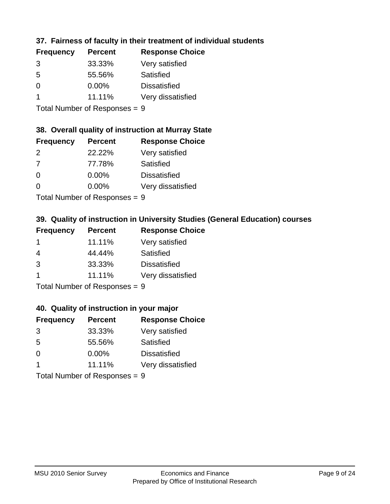### **37. Fairness of faculty in their treatment of individual students**

| <b>Frequency</b> | <b>Percent</b> | <b>Response Choice</b> |
|------------------|----------------|------------------------|
| 3                | 33.33%         | Very satisfied         |
| 5                | 55.56%         | Satisfied              |
| $\Omega$         | $0.00\%$       | <b>Dissatisfied</b>    |
|                  | 11.11%         | Very dissatisfied      |
|                  |                |                        |

Total Number of Responses = 9

#### **38. Overall quality of instruction at Murray State**

| <b>Frequency</b> | <b>Percent</b> | <b>Response Choice</b> |
|------------------|----------------|------------------------|
| $\mathcal{P}$    | 22.22%         | Very satisfied         |
| 7                | 77.78%         | Satisfied              |
| $\Omega$         | 0.00%          | <b>Dissatisfied</b>    |
| $\Omega$         | 0.00%          | Very dissatisfied      |
|                  |                |                        |

Total Number of Responses = 9

### **39. Quality of instruction in University Studies (General Education) courses**

| <b>Frequency</b> | <b>Percent</b> | <b>Response Choice</b> |
|------------------|----------------|------------------------|
|                  | 11.11%         | Very satisfied         |
| 4                | 44.44%         | Satisfied              |
| 3                | 33.33%         | <b>Dissatisfied</b>    |
|                  | 11.11%         | Very dissatisfied      |
|                  |                |                        |

Total Number of Responses = 9

#### **40. Quality of instruction in your major**

| <b>Frequency</b> | <b>Percent</b>            | <b>Response Choice</b> |
|------------------|---------------------------|------------------------|
| 3                | 33.33%                    | Very satisfied         |
| 5                | 55.56%                    | Satisfied              |
| $\Omega$         | $0.00\%$                  | <b>Dissatisfied</b>    |
|                  | 11.11%                    | Very dissatisfied      |
|                  | Total Number of Desponses |                        |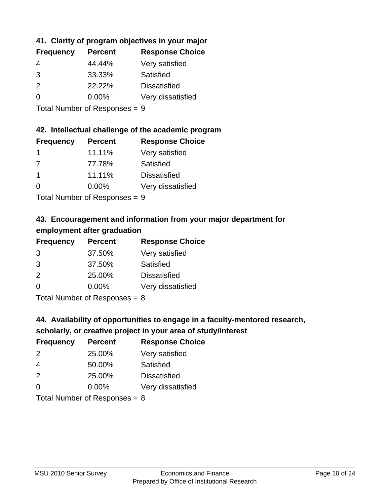## **41. Clarity of program objectives in your major**

| <b>Frequency</b> | <b>Percent</b> | <b>Response Choice</b> |
|------------------|----------------|------------------------|
| 4                | 44.44%         | Very satisfied         |
| 3                | 33.33%         | Satisfied              |
| $\mathcal{P}$    | 22.22%         | <b>Dissatisfied</b>    |
| $\Omega$         | $0.00\%$       | Very dissatisfied      |
|                  |                |                        |

Total Number of Responses = 9

#### **42. Intellectual challenge of the academic program**

| <b>Frequency</b> | <b>Percent</b> | <b>Response Choice</b> |
|------------------|----------------|------------------------|
|                  | 11.11%         | Very satisfied         |
| 7                | 77.78%         | Satisfied              |
|                  | 11.11%         | <b>Dissatisfied</b>    |
| $\Omega$         | $0.00\%$       | Very dissatisfied      |
|                  |                |                        |

Total Number of Responses = 9

# **43. Encouragement and information from your major department for employment after graduation**

| <b>Frequency</b> | <b>Percent</b> | <b>Response Choice</b> |
|------------------|----------------|------------------------|
| 3                | 37.50%         | Very satisfied         |
| 3                | 37.50%         | Satisfied              |
| 2                | 25.00%         | <b>Dissatisfied</b>    |
| $\Omega$         | 0.00%          | Very dissatisfied      |
|                  |                |                        |

Total Number of Responses = 8

# **44. Availability of opportunities to engage in a faculty-mentored research,**

### **scholarly, or creative project in your area of study/interest**

| <b>Frequency</b> | <b>Percent</b> | <b>Response Choice</b> |
|------------------|----------------|------------------------|
| $\mathcal{P}$    | 25.00%         | Very satisfied         |
| 4                | 50.00%         | Satisfied              |
| $\mathcal{P}$    | 25.00%         | <b>Dissatisfied</b>    |
| $\Omega$         | 0.00%          | Very dissatisfied      |
|                  |                |                        |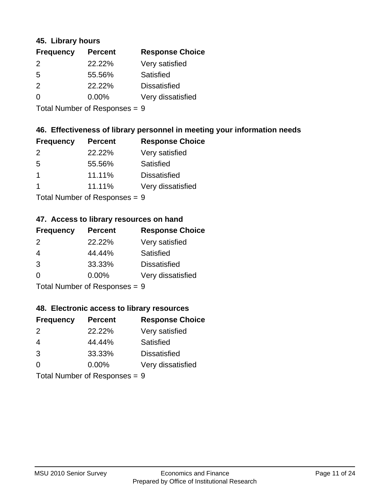#### **45. Library hours**

| <b>Frequency</b> | <b>Percent</b> | <b>Response Choice</b> |
|------------------|----------------|------------------------|
| 2                | 22.22%         | Very satisfied         |
| 5                | 55.56%         | Satisfied              |
| $\mathcal{P}$    | 22.22%         | <b>Dissatisfied</b>    |
| 0                | $0.00\%$       | Very dissatisfied      |
|                  |                |                        |

Total Number of Responses = 9

### **46. Effectiveness of library personnel in meeting your information needs**

| <b>Frequency</b> | <b>Percent</b> | <b>Response Choice</b> |
|------------------|----------------|------------------------|
| 2                | 22.22%         | Very satisfied         |
| 5                | 55.56%         | Satisfied              |
|                  | 11.11%         | <b>Dissatisfied</b>    |
|                  | 11.11%         | Very dissatisfied      |
|                  |                |                        |

Total Number of Responses = 9

## **47. Access to library resources on hand**

| <b>Frequency</b> | <b>Percent</b>             | <b>Response Choice</b> |
|------------------|----------------------------|------------------------|
| $\mathcal{P}$    | 22.22%                     | Very satisfied         |
| 4                | 44.44%                     | Satisfied              |
| 3                | 33.33%                     | <b>Dissatisfied</b>    |
| $\Omega$         | 0.00%                      | Very dissatisfied      |
|                  | Tatal Number of Desperance |                        |

Total Number of Responses = 9

#### **48. Electronic access to library resources**

| <b>Frequency</b> | <b>Percent</b>             | <b>Response Choice</b> |
|------------------|----------------------------|------------------------|
| $\mathcal{P}$    | 22.22%                     | Very satisfied         |
| 4                | 44.44%                     | Satisfied              |
| 3                | 33.33%                     | <b>Dissatisfied</b>    |
| $\Omega$         | 0.00%                      | Very dissatisfied      |
|                  | Tatal Number of Desperance |                        |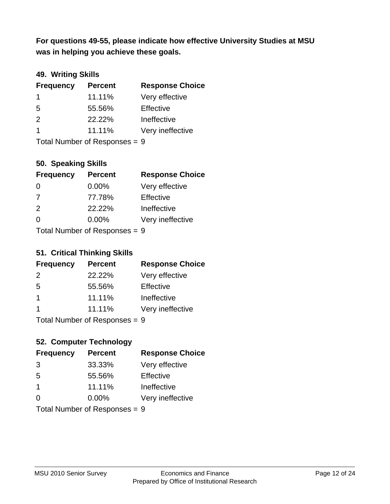**was in helping you achieve these goals. For questions 49-55, please indicate how effective University Studies at MSU** 

### **49. Writing Skills**

| <b>Frequency</b>              | <b>Percent</b> | <b>Response Choice</b> |
|-------------------------------|----------------|------------------------|
| $\mathbf 1$                   | 11.11%         | Very effective         |
| 5                             | 55.56%         | Effective              |
| 2                             | 22.22%         | Ineffective            |
| $\overline{1}$                | 11.11%         | Very ineffective       |
| Total Number of Responses = 9 |                |                        |

### **50. Speaking Skills**

| <b>Frequency</b>          | <b>Percent</b> | <b>Response Choice</b> |
|---------------------------|----------------|------------------------|
| $\Omega$                  | $0.00\%$       | Very effective         |
| 7                         | 77.78%         | Effective              |
| 2                         | 22.22%         | Ineffective            |
| ∩                         | 0.00%          | Very ineffective       |
| Total Number of Desponses |                |                        |

Total Number of Responses = 9

### **51. Critical Thinking Skills**

| <b>Frequency</b> | <b>Percent</b>                                                                                                                                                                                                                 | <b>Response Choice</b> |
|------------------|--------------------------------------------------------------------------------------------------------------------------------------------------------------------------------------------------------------------------------|------------------------|
| 2                | 22.22%                                                                                                                                                                                                                         | Very effective         |
| 5                | 55.56%                                                                                                                                                                                                                         | Effective              |
| $\mathbf 1$      | 11.11%                                                                                                                                                                                                                         | Ineffective            |
|                  | 11.11%                                                                                                                                                                                                                         | Very ineffective       |
|                  | The INDIAN Contract Contract in the Contract of The Contract of The Contract of The Contract of The Contract of The Contract of The Contract of The Contract of The Contract of The Contract of The Contract of The Contract o |                        |

Total Number of Responses = 9

# **52. Computer Technology**

| <b>Frequency</b>              | <b>Percent</b> | <b>Response Choice</b> |
|-------------------------------|----------------|------------------------|
| 3                             | 33.33%         | Very effective         |
| 5                             | 55.56%         | Effective              |
| $\overline{\mathbf{1}}$       | 11.11%         | Ineffective            |
| $\Omega$                      | 0.00%          | Very ineffective       |
| Total Number of Responses = 9 |                |                        |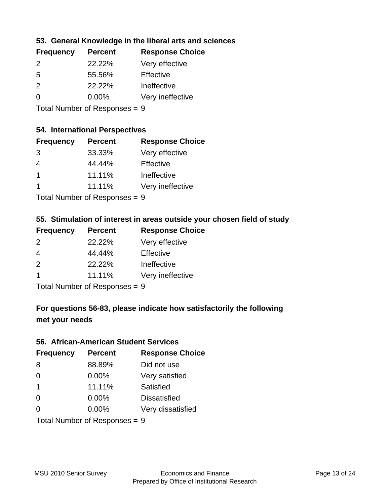### **53. General Knowledge in the liberal arts and sciences**

| <b>Frequency</b> | <b>Percent</b> | <b>Response Choice</b> |
|------------------|----------------|------------------------|
| $\mathcal{P}$    | 22.22%         | Very effective         |
| .5               | 55.56%         | Effective              |
| $\mathcal{P}$    | 22.22%         | Ineffective            |
| ∩                | $0.00\%$       | Very ineffective       |
|                  |                |                        |

Total Number of Responses = 9

#### **54. International Perspectives**

| <b>Frequency</b> | <b>Percent</b> | <b>Response Choice</b> |
|------------------|----------------|------------------------|
| 3                | 33.33%         | Very effective         |
| 4                | 44.44%         | Effective              |
| $\overline{1}$   | 11.11%         | Ineffective            |
| -1               | 11.11%         | Very ineffective       |
|                  |                |                        |

Total Number of Responses = 9

# **55. Stimulation of interest in areas outside your chosen field of study**

| <b>Frequency</b> | <b>Percent</b> | <b>Response Choice</b> |
|------------------|----------------|------------------------|
| 2                | 22.22%         | Very effective         |
| 4                | 44.44%         | Effective              |
| 2                | 22.22%         | Ineffective            |
| -1               | 11.11%         | Very ineffective       |
|                  |                |                        |

Total Number of Responses = 9

# **For questions 56-83, please indicate how satisfactorily the following met your needs**

#### **56. African-American Student Services**

| <b>Frequency</b> | <b>Percent</b>                  | <b>Response Choice</b> |
|------------------|---------------------------------|------------------------|
| 8                | 88.89%                          | Did not use            |
| $\Omega$         | 0.00%                           | Very satisfied         |
| $\overline{1}$   | 11.11%                          | <b>Satisfied</b>       |
| $\Omega$         | $0.00\%$                        | <b>Dissatisfied</b>    |
| $\Omega$         | 0.00%                           | Very dissatisfied      |
|                  | Total Number of Responses = $9$ |                        |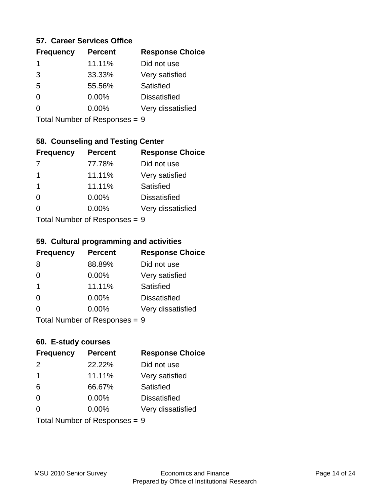#### **57. Career Services Office**

| <b>Frequency</b> | <b>Percent</b> | <b>Response Choice</b> |
|------------------|----------------|------------------------|
| 1                | 11.11%         | Did not use            |
| 3                | 33.33%         | Very satisfied         |
| 5                | 55.56%         | Satisfied              |
| 0                | $0.00\%$       | <b>Dissatisfied</b>    |
|                  | $0.00\%$       | Very dissatisfied      |
|                  |                |                        |

Total Number of Responses = 9

#### **58. Counseling and Testing Center**

| <b>Frequency</b>          | <b>Percent</b> | <b>Response Choice</b> |
|---------------------------|----------------|------------------------|
|                           | 77.78%         | Did not use            |
| 1                         | 11.11%         | Very satisfied         |
| 1                         | 11.11%         | <b>Satisfied</b>       |
| ∩                         | 0.00%          | <b>Dissatisfied</b>    |
| ∩                         | 0.00%          | Very dissatisfied      |
| Total Number of Desponses |                |                        |

Total Number of Responses = 9

#### **59. Cultural programming and activities**

| <b>Frequency</b>        | <b>Percent</b>             | <b>Response Choice</b> |
|-------------------------|----------------------------|------------------------|
| 8                       | 88.89%                     | Did not use            |
| $\Omega$                | 0.00%                      | Very satisfied         |
| $\overline{\mathbf{1}}$ | 11.11%                     | Satisfied              |
| $\Omega$                | 0.00%                      | <b>Dissatisfied</b>    |
| $\Omega$                | 0.00%                      | Very dissatisfied      |
|                         | Total Number of Deepersoon |                        |

Total Number of Responses = 9

#### **60. E-study courses**

| <b>Frequency</b> | <b>Percent</b>                  | <b>Response Choice</b> |
|------------------|---------------------------------|------------------------|
| $\mathcal{P}$    | 22.22%                          | Did not use            |
| $\overline{1}$   | 11.11%                          | Very satisfied         |
| 6                | 66.67%                          | Satisfied              |
| $\Omega$         | $0.00\%$                        | <b>Dissatisfied</b>    |
| $\Omega$         | 0.00%                           | Very dissatisfied      |
|                  | Total Number of Responses = $9$ |                        |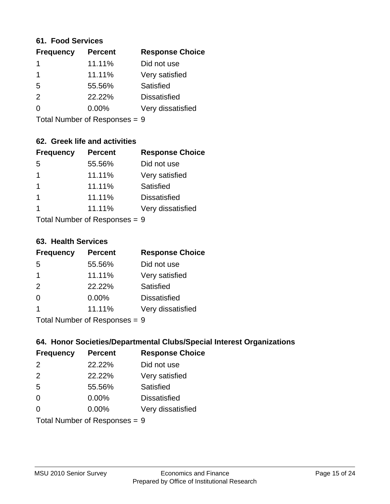#### **61. Food Services**

| <b>Frequency</b> | <b>Percent</b> | <b>Response Choice</b> |
|------------------|----------------|------------------------|
| 1                | 11.11%         | Did not use            |
| $\mathbf 1$      | 11.11%         | Very satisfied         |
| 5                | 55.56%         | Satisfied              |
| $\mathcal{P}$    | 22.22%         | <b>Dissatisfied</b>    |
| $\Omega$         | $0.00\%$       | Very dissatisfied      |
|                  |                |                        |

Total Number of Responses = 9

### **62. Greek life and activities**

| <b>Frequency</b>            | <b>Percent</b> | <b>Response Choice</b> |
|-----------------------------|----------------|------------------------|
| -5                          | 55.56%         | Did not use            |
| 1                           | 11.11%         | Very satisfied         |
| 1                           | 11.11%         | <b>Satisfied</b>       |
| 1                           | 11.11%         | <b>Dissatisfied</b>    |
| 1                           | 11.11%         | Very dissatisfied      |
| Total Number of Despasses - |                |                        |

Total Number of Responses = 9

#### **63. Health Services**

| <b>Frequency</b> | <b>Percent</b> | <b>Response Choice</b> |
|------------------|----------------|------------------------|
| .5               | 55.56%         | Did not use            |
| 1                | 11.11%         | Very satisfied         |
| 2                | 22.22%         | Satisfied              |
| $\Omega$         | 0.00%          | <b>Dissatisfied</b>    |
| 1                | 11.11%         | Very dissatisfied      |
|                  |                |                        |

Total Number of Responses = 9

## **64. Honor Societies/Departmental Clubs/Special Interest Organizations**

| <b>Frequency</b> | <b>Percent</b>                | <b>Response Choice</b> |
|------------------|-------------------------------|------------------------|
| $\mathcal{P}$    | 22.22%                        | Did not use            |
| 2                | 22.22%                        | Very satisfied         |
| 5                | 55.56%                        | Satisfied              |
| $\Omega$         | $0.00\%$                      | <b>Dissatisfied</b>    |
| $\Omega$         | 0.00%                         | Very dissatisfied      |
|                  | Total Number of Responses = 9 |                        |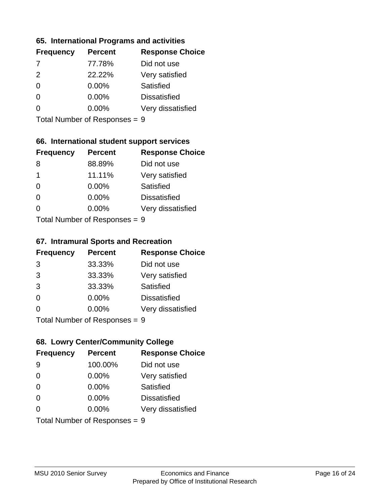#### **65. International Programs and activities**

| <b>Frequency</b> | <b>Percent</b> | <b>Response Choice</b> |
|------------------|----------------|------------------------|
| -7               | 77.78%         | Did not use            |
| $\mathcal{P}$    | 22.22%         | Very satisfied         |
| 0                | $0.00\%$       | Satisfied              |
|                  | 0.00%          | <b>Dissatisfied</b>    |
|                  | 0.00%          | Very dissatisfied      |
|                  |                |                        |

Total Number of Responses = 9

### **66. International student support services**

| <b>Frequency</b>           | <b>Percent</b> | <b>Response Choice</b> |
|----------------------------|----------------|------------------------|
| 8                          | 88.89%         | Did not use            |
| 1                          | 11.11%         | Very satisfied         |
| $\Omega$                   | 0.00%          | Satisfied              |
| $\Omega$                   | 0.00%          | <b>Dissatisfied</b>    |
| ∩                          | 0.00%          | Very dissatisfied      |
| Total Number of Deepersoon |                |                        |

Total Number of Responses = 9

#### **67. Intramural Sports and Recreation**

| <b>Frequency</b>            | <b>Percent</b> | <b>Response Choice</b> |
|-----------------------------|----------------|------------------------|
| 3                           | 33.33%         | Did not use            |
| 3                           | 33.33%         | Very satisfied         |
| 3                           | 33.33%         | <b>Satisfied</b>       |
| $\Omega$                    | $0.00\%$       | <b>Dissatisfied</b>    |
| ∩                           | $0.00\%$       | Very dissatisfied      |
| Total Number of Depanonce - |                |                        |

Total Number of Responses = 9

## **68. Lowry Center/Community College**

| <b>Frequency</b> | <b>Percent</b>                | <b>Response Choice</b> |
|------------------|-------------------------------|------------------------|
| 9                | 100.00%                       | Did not use            |
| $\Omega$         | 0.00%                         | Very satisfied         |
| $\Omega$         | 0.00%                         | Satisfied              |
| $\Omega$         | $0.00\%$                      | <b>Dissatisfied</b>    |
| 0                | $0.00\%$                      | Very dissatisfied      |
|                  | Total Number of Responses = 9 |                        |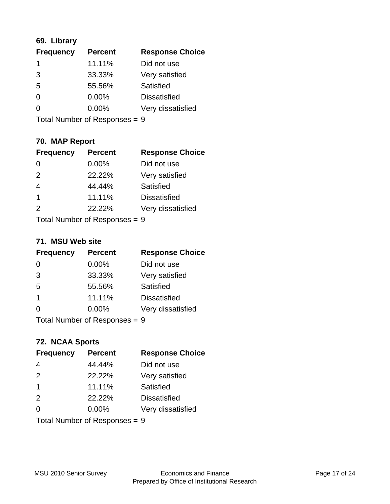## **69. Library**

| <b>Frequency</b> | <b>Percent</b> | <b>Response Choice</b> |
|------------------|----------------|------------------------|
|                  | 11.11%         | Did not use            |
| 3                | 33.33%         | Very satisfied         |
| 5                | 55.56%         | Satisfied              |
| 0                | $0.00\%$       | <b>Dissatisfied</b>    |
| O                | $0.00\%$       | Very dissatisfied      |
|                  |                |                        |

Total Number of Responses = 9

# **70. MAP Report**

| <b>Frequency</b>              | <b>Percent</b> | <b>Response Choice</b> |
|-------------------------------|----------------|------------------------|
| $\Omega$                      | 0.00%          | Did not use            |
| 2                             | 22.22%         | Very satisfied         |
| $\overline{4}$                | 44.44%         | Satisfied              |
| $\overline{1}$                | 11.11%         | <b>Dissatisfied</b>    |
| 2                             | 22.22%         | Very dissatisfied      |
| Total Number of Responses = 9 |                |                        |

#### **71. MSU Web site**

| <b>Frequency</b>        | <b>Percent</b> | <b>Response Choice</b> |
|-------------------------|----------------|------------------------|
| $\Omega$                | 0.00%          | Did not use            |
| 3                       | 33.33%         | Very satisfied         |
| 5                       | 55.56%         | Satisfied              |
| $\overline{\mathbf{1}}$ | 11.11%         | <b>Dissatisfied</b>    |
| $\Omega$                | 0.00%          | Very dissatisfied      |
|                         |                |                        |

Total Number of Responses = 9

## **72. NCAA Sports**

| <b>Frequency</b>        | <b>Percent</b>                  | <b>Response Choice</b> |
|-------------------------|---------------------------------|------------------------|
| 4                       | 44.44%                          | Did not use            |
| 2                       | 22.22%                          | Very satisfied         |
| $\overline{\mathbf{1}}$ | 11.11%                          | Satisfied              |
| 2                       | 22.22%                          | <b>Dissatisfied</b>    |
| $\Omega$                | $0.00\%$                        | Very dissatisfied      |
|                         | Total Number of Responses = $9$ |                        |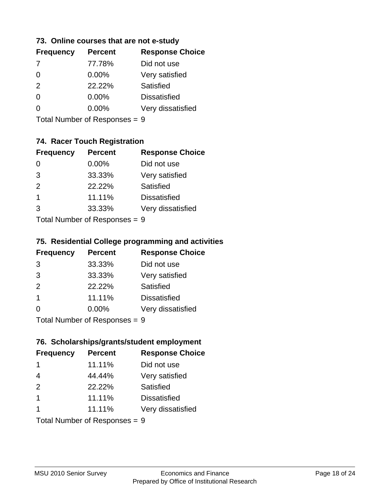#### **73. Online courses that are not e-study**

| <b>Frequency</b> | <b>Percent</b> | <b>Response Choice</b> |
|------------------|----------------|------------------------|
|                  | 77.78%         | Did not use            |
| 0                | $0.00\%$       | Very satisfied         |
| $\mathcal{P}$    | 22.22%         | Satisfied              |
|                  | $0.00\%$       | <b>Dissatisfied</b>    |
|                  | $0.00\%$       | Very dissatisfied      |
|                  |                |                        |

Total Number of Responses = 9

# **74. Racer Touch Registration**

| <b>Frequency</b>           | <b>Percent</b> | <b>Response Choice</b> |  |
|----------------------------|----------------|------------------------|--|
| 0                          | 0.00%          | Did not use            |  |
| 3                          | 33.33%         | Very satisfied         |  |
| 2                          | 22.22%         | <b>Satisfied</b>       |  |
| 1                          | 11.11%         | <b>Dissatisfied</b>    |  |
| 3                          | 33.33%         | Very dissatisfied      |  |
| Tatal Number of Desperance |                |                        |  |

Total Number of Responses = 9

# **75. Residential College programming and activities**

| <b>Frequency</b>           | <b>Percent</b> | <b>Response Choice</b> |  |
|----------------------------|----------------|------------------------|--|
| 3                          | 33.33%         | Did not use            |  |
| 3                          | 33.33%         | Very satisfied         |  |
| 2                          | 22.22%         | Satisfied              |  |
| -1                         | 11.11%         | <b>Dissatisfied</b>    |  |
| $\Omega$                   | $0.00\%$       | Very dissatisfied      |  |
| Tatal Number of Desperance |                | C                      |  |

Total Number of Responses  $= 9$ 

## **76. Scholarships/grants/student employment**

| <b>Frequency</b> | <b>Percent</b>                | <b>Response Choice</b> |
|------------------|-------------------------------|------------------------|
| -1               | 11.11%                        | Did not use            |
| $\overline{4}$   | 44.44%                        | Very satisfied         |
| 2                | 22.22%                        | Satisfied              |
| $\overline{1}$   | 11.11%                        | <b>Dissatisfied</b>    |
| 1                | 11.11%                        | Very dissatisfied      |
|                  | Total Number of Responses = 9 |                        |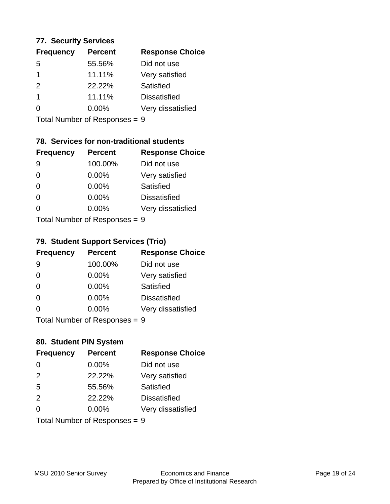#### **77. Security Services**

| <b>Frequency</b> | <b>Percent</b> | <b>Response Choice</b> |
|------------------|----------------|------------------------|
| 5                | 55.56%         | Did not use            |
|                  | 11.11%         | Very satisfied         |
| 2                | 22.22%         | Satisfied              |
|                  | 11.11%         | <b>Dissatisfied</b>    |
| O                | $0.00\%$       | Very dissatisfied      |
|                  |                |                        |

Total Number of Responses = 9

# **78. Services for non-traditional students**

| <b>Frequency</b>          | <b>Percent</b> | <b>Response Choice</b> |
|---------------------------|----------------|------------------------|
| 9                         | 100.00%        | Did not use            |
| $\Omega$                  | 0.00%          | Very satisfied         |
| $\Omega$                  | 0.00%          | Satisfied              |
| $\Omega$                  | 0.00%          | <b>Dissatisfied</b>    |
| ∩                         | 0.00%          | Very dissatisfied      |
| Total Number of Desponses |                |                        |

Total Number of Responses = 9

# **79. Student Support Services (Trio)**

| <b>Frequency</b> | <b>Percent</b>                  | <b>Response Choice</b> |
|------------------|---------------------------------|------------------------|
| 9                | 100.00%                         | Did not use            |
| $\Omega$         | 0.00%                           | Very satisfied         |
| $\Omega$         | 0.00%                           | Satisfied              |
| $\Omega$         | 0.00%                           | <b>Dissatisfied</b>    |
| $\Omega$         | 0.00%                           | Very dissatisfied      |
|                  | $Total$ Number of Despanses $-$ |                        |

Total Number of Responses = 9

# **80. Student PIN System**

| <b>Frequency</b> | <b>Percent</b>                | <b>Response Choice</b> |
|------------------|-------------------------------|------------------------|
|                  | 0.00%                         | Did not use            |
| 2                | 22.22%                        | Very satisfied         |
| 5                | 55.56%                        | Satisfied              |
| 2                | 22.22%                        | <b>Dissatisfied</b>    |
| 0                | $0.00\%$                      | Very dissatisfied      |
|                  | Total Number of Responses = 9 |                        |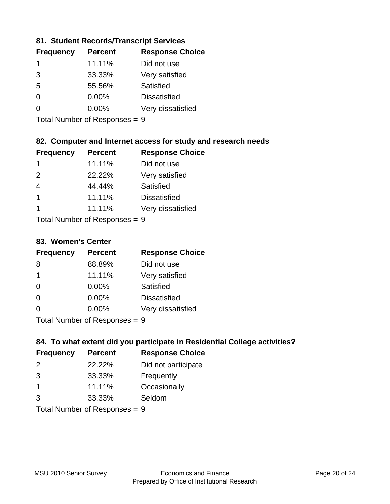### **81. Student Records/Transcript Services**

| <b>Frequency</b> | <b>Percent</b> | <b>Response Choice</b> |
|------------------|----------------|------------------------|
|                  | 11.11%         | Did not use            |
| 3                | 33.33%         | Very satisfied         |
| .5               | 55.56%         | Satisfied              |
| ∩                | 0.00%          | <b>Dissatisfied</b>    |
|                  | $0.00\%$       | Very dissatisfied      |

Total Number of Responses = 9

### **82. Computer and Internet access for study and research needs**

| <b>Frequency</b> | <b>Percent</b> | <b>Response Choice</b> |
|------------------|----------------|------------------------|
| 1                | 11.11%         | Did not use            |
| $\mathcal{P}$    | 22.22%         | Very satisfied         |
| $\overline{4}$   | 44.44%         | Satisfied              |
| $\overline{1}$   | 11.11%         | <b>Dissatisfied</b>    |
| 1                | 11.11%         | Very dissatisfied      |
|                  |                |                        |

Total Number of Responses = 9

### **83. Women's Center**

| <b>Frequency</b> | <b>Percent</b> | <b>Response Choice</b> |
|------------------|----------------|------------------------|
| 8                | 88.89%         | Did not use            |
| -1               | 11.11%         | Very satisfied         |
| $\Omega$         | 0.00%          | <b>Satisfied</b>       |
| $\Omega$         | 0.00%          | <b>Dissatisfied</b>    |
| $\Omega$         | 0.00%          | Very dissatisfied      |
|                  |                |                        |

Total Number of Responses = 9

# **84. To what extent did you participate in Residential College activities?**

| <b>Frequency</b> | <b>Percent</b> | <b>Response Choice</b> |
|------------------|----------------|------------------------|
| $\mathcal{P}$    | 22.22%         | Did not participate    |
| 3                | 33.33%         | Frequently             |
| $\mathbf 1$      | 11.11%         | Occasionally           |
| 3                | 33.33%         | Seldom                 |
|                  |                |                        |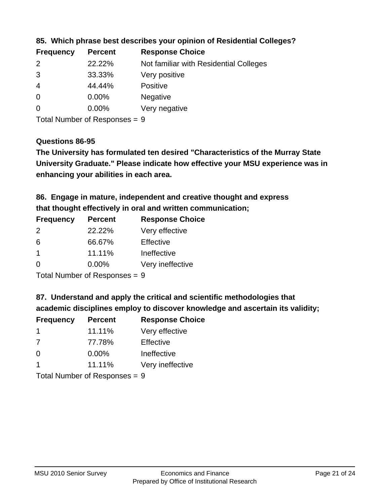| <b>Frequency</b> | <b>Percent</b> | <b>Response Choice</b>                 |
|------------------|----------------|----------------------------------------|
| $\mathcal{P}$    | 22.22%         | Not familiar with Residential Colleges |
| 3                | 33.33%         | Very positive                          |
| -4               | 44.44%         | <b>Positive</b>                        |
| $\overline{0}$   | 0.00%          | <b>Negative</b>                        |
| -0               | $0.00\%$       | Very negative                          |
|                  |                |                                        |

**85. Which phrase best describes your opinion of Residential Colleges?**

Total Number of Responses = 9

#### **Questions 86-95**

**University Graduate." Please indicate how effective your MSU experience was in The University has formulated ten desired "Characteristics of the Murray State enhancing your abilities in each area.**

**86. Engage in mature, independent and creative thought and express that thought effectively in oral and written communication;**

| <b>Frequency</b> | <b>Percent</b> | <b>Response Choice</b> |
|------------------|----------------|------------------------|
| $\mathcal{P}$    | 22.22%         | Very effective         |
| 6                | 66.67%         | Effective              |
|                  | 11.11%         | Ineffective            |
| $\Omega$         | $0.00\%$       | Very ineffective       |

Total Number of Responses = 9

**87. Understand and apply the critical and scientific methodologies that** 

**academic disciplines employ to discover knowledge and ascertain its validity;**

| <b>Frequency</b> | <b>Percent</b>            | <b>Response Choice</b> |
|------------------|---------------------------|------------------------|
| -1               | 11.11%                    | Very effective         |
| 7                | 77.78%                    | Effective              |
| $\Omega$         | $0.00\%$                  | Ineffective            |
|                  | 11.11%                    | Very ineffective       |
|                  | Total Number of Deepersee |                        |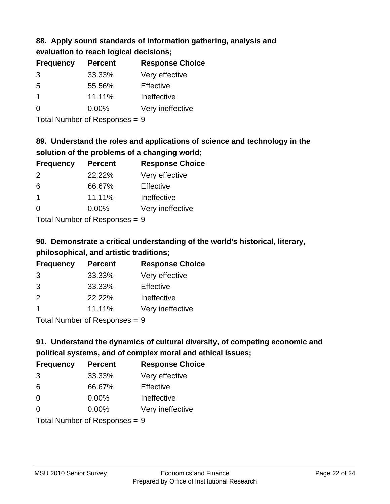# **88. Apply sound standards of information gathering, analysis and evaluation to reach logical decisions;**

| <b>Percent</b> | <b>Response Choice</b> |
|----------------|------------------------|
| 33.33%         | Very effective         |
| 55.56%         | Effective              |
| 11.11%         | Ineffective            |
| $0.00\%$       | Very ineffective       |
|                |                        |

Total Number of Responses = 9

# **89. Understand the roles and applications of science and technology in the solution of the problems of a changing world;**

| <b>Frequency</b> | <b>Percent</b>               | <b>Response Choice</b> |
|------------------|------------------------------|------------------------|
| 2                | 22.22%                       | Very effective         |
| 6                | 66.67%                       | Effective              |
| $\overline{1}$   | 11.11%                       | Ineffective            |
| $\Omega$         | 0.00%                        | Very ineffective       |
|                  | $\tau$ . The state of $\sim$ |                        |

Total Number of Responses = 9

# **90. Demonstrate a critical understanding of the world's historical, literary, philosophical, and artistic traditions;**

| <b>Frequency</b> | <b>Percent</b> | <b>Response Choice</b> |
|------------------|----------------|------------------------|
| 3                | 33.33%         | Very effective         |
| 3                | 33.33%         | Effective              |
| $\mathcal{P}$    | 22.22%         | Ineffective            |
|                  | 11.11%         | Very ineffective       |
|                  |                |                        |

Total Number of Responses = 9

# **91. Understand the dynamics of cultural diversity, of competing economic and political systems, and of complex moral and ethical issues;**

| <b>Frequency</b> | <b>Percent</b>                | <b>Response Choice</b> |
|------------------|-------------------------------|------------------------|
| 3                | 33.33%                        | Very effective         |
| 6                | 66.67%                        | Effective              |
| 0                | $0.00\%$                      | Ineffective            |
| $\Omega$         | 0.00%                         | Very ineffective       |
|                  | Total Number of Responses = 9 |                        |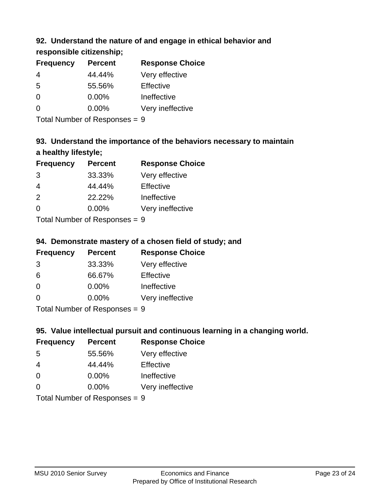# **92. Understand the nature of and engage in ethical behavior and**

**responsible citizenship;**

| <b>Frequency</b> | <b>Percent</b> | <b>Response Choice</b> |
|------------------|----------------|------------------------|
| 4                | 44.44%         | Very effective         |
| 5                | 55.56%         | Effective              |
| 0                | $0.00\%$       | Ineffective            |
| $\Omega$         | $0.00\%$       | Very ineffective       |
|                  |                |                        |

Total Number of Responses = 9

# **93. Understand the importance of the behaviors necessary to maintain a healthy lifestyle;**

| <b>Frequency</b>               | <b>Percent</b> | <b>Response Choice</b> |
|--------------------------------|----------------|------------------------|
| 3                              | 33.33%         | Very effective         |
| $\overline{4}$                 | 44.44%         | Effective              |
| 2                              | 22.22%         | Ineffective            |
| $\Omega$                       | $0.00\%$       | Very ineffective       |
| Tatal Manufacture Construction |                |                        |

Total Number of Responses = 9

# **94. Demonstrate mastery of a chosen field of study; and**

| <b>Frequency</b> | <b>Percent</b> | <b>Response Choice</b> |
|------------------|----------------|------------------------|
| 3                | 33.33%         | Very effective         |
| 6                | 66.67%         | Effective              |
| $\Omega$         | $0.00\%$       | Ineffective            |
| 0                | $0.00\%$       | Very ineffective       |
|                  |                |                        |

Total Number of Responses = 9

# **95. Value intellectual pursuit and continuous learning in a changing world.**

| <b>Frequency</b> | <b>Percent</b> | <b>Response Choice</b> |
|------------------|----------------|------------------------|
| -5               | 55.56%         | Very effective         |
| 4                | 44.44%         | Effective              |
| 0                | 0.00%          | Ineffective            |
| ∩                | 0.00%          | Very ineffective       |
|                  |                |                        |